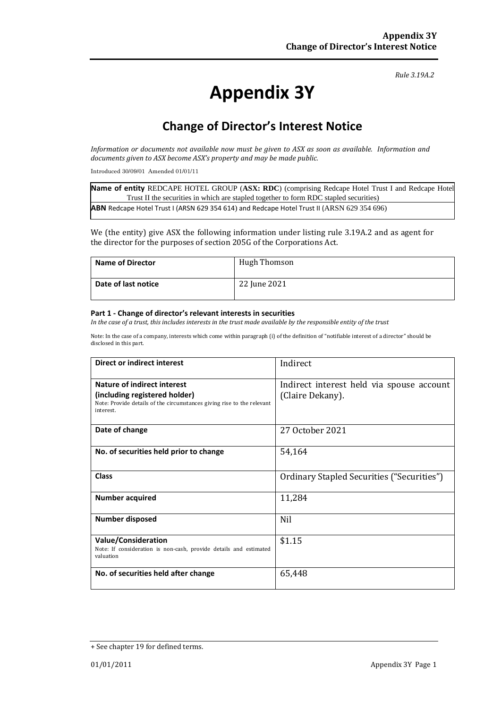*Rule 3.19A.2*

# **Appendix 3Y**

# **Change of Director's Interest Notice**

*Information or documents not available now must be given to ASX as soon as available. Information and documents given to ASX become ASX's property and may be made public.*

Introduced 30/09/01 Amended 01/01/11

**Name of entity** REDCAPE HOTEL GROUP (**ASX: RDC**) (comprising Redcape Hotel Trust I and Redcape Hotel Trust II the securities in which are stapled together to form RDC stapled securities) **ABN** Redcape Hotel Trust I (ARSN 629 354 614) and Redcape Hotel Trust II (ARSN 629 354 696)

We (the entity) give ASX the following information under listing rule 3.19A.2 and as agent for the director for the purposes of section 205G of the Corporations Act.

| Name of Director    | <b>Hugh Thomson</b> |
|---------------------|---------------------|
| Date of last notice | 22 June 2021        |

#### **Part 1 - Change of director's relevant interests in securities**

*In the case of a trust, this includes interests in the trust made available by the responsible entity of the trust*

Note: In the case of a company, interests which come within paragraph (i) of the definition of "notifiable interest of a director" should be disclosed in this part.

| Direct or indirect interest                                                                                                                         | Indirect                                                      |
|-----------------------------------------------------------------------------------------------------------------------------------------------------|---------------------------------------------------------------|
| Nature of indirect interest<br>(including registered holder)<br>Note: Provide details of the circumstances giving rise to the relevant<br>interest. | Indirect interest held via spouse account<br>(Claire Dekany). |
| Date of change                                                                                                                                      | 27 October 2021                                               |
| No. of securities held prior to change                                                                                                              | 54,164                                                        |
| <b>Class</b>                                                                                                                                        | Ordinary Stapled Securities ("Securities")                    |
| <b>Number acquired</b>                                                                                                                              | 11,284                                                        |
| <b>Number disposed</b>                                                                                                                              | <b>Nil</b>                                                    |
| <b>Value/Consideration</b><br>Note: If consideration is non-cash, provide details and estimated<br>valuation                                        | \$1.15                                                        |
| No. of securities held after change                                                                                                                 | 65,448                                                        |

<sup>+</sup> See chapter 19 for defined terms.